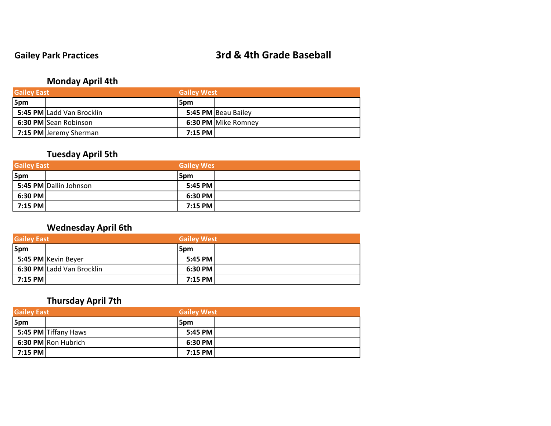### **Gailey Park Practices 3rd & 4th Grade Baseball**

### **Monday April 4th**

| <b>Gailey East</b> |                           | <b>Gailey West</b> |                     |
|--------------------|---------------------------|--------------------|---------------------|
| 5pm                |                           | l5pm               |                     |
|                    | 5:45 PM Ladd Van Brocklin |                    | 5:45 PM Beau Bailey |
|                    | 6:30 PM Sean Robinson     |                    | 6:30 PM Mike Romney |
|                    | 7:15 PM Jeremy Sherman    | 7:15 PM            |                     |

### **Tuesday April 5th**

| <b>Gailey East</b> |                        | <b>Gailey Wes</b> |  |
|--------------------|------------------------|-------------------|--|
| 5pm                |                        | 5pm               |  |
|                    | 5:45 PM Dallin Johnson | 5:45 PM           |  |
| $6:30$ PM          |                        | 6:30 PM           |  |
| $7:15$ PM          |                        | $7:15$ PM         |  |

### **Wednesday April 6th**

| <b>Gailey East</b> |                           |         | <b>Gailey West</b> |  |
|--------------------|---------------------------|---------|--------------------|--|
| 5pm                |                           | l5pm    |                    |  |
|                    | 5:45 PM Kevin Beyer       | 5:45 PM |                    |  |
|                    | 6:30 PM Ladd Van Brocklin | 6:30 PM |                    |  |
| 7:15 PM            |                           | 7:15 PM |                    |  |

### **Thursday April 7th**

| <b>Gailey East</b> |                      |         | <b>Gailey West</b> |  |
|--------------------|----------------------|---------|--------------------|--|
| 5pm                |                      | 5pm     |                    |  |
|                    | 5:45 PM Tiffany Haws | 5:45 PM |                    |  |
|                    | 6:30 PM Ron Hubrich  | 6:30 PM |                    |  |
| 7:15 PM            |                      | 7:15 PM |                    |  |